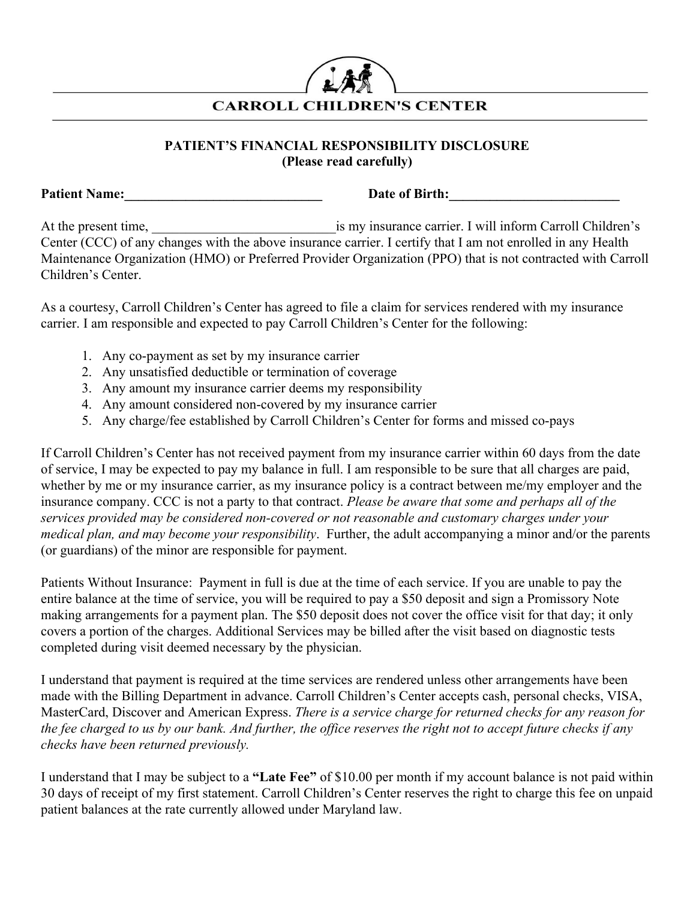

## **PATIENT'S FINANCIAL RESPONSIBILITY DISCLOSURE (Please read carefully)**

**Patient Name:\_\_\_\_\_\_\_\_\_\_\_\_\_\_\_\_\_\_\_\_\_\_\_\_\_\_\_\_\_ Date of Birth:\_\_\_\_\_\_\_\_\_\_\_\_\_\_\_\_\_\_\_\_\_\_\_\_\_**

At the present time, is my insurance carrier. I will inform Carroll Children's Center (CCC) of any changes with the above insurance carrier. I certify that I am not enrolled in any Health Maintenance Organization (HMO) or Preferred Provider Organization (PPO) that is not contracted with Carroll Children's Center.

As a courtesy, Carroll Children's Center has agreed to file a claim for services rendered with my insurance carrier. I am responsible and expected to pay Carroll Children's Center for the following:

- 1. Any co-payment as set by my insurance carrier
- 2. Any unsatisfied deductible or termination of coverage
- 3. Any amount my insurance carrier deems my responsibility
- 4. Any amount considered non-covered by my insurance carrier
- 5. Any charge/fee established by Carroll Children's Center for forms and missed co-pays

If Carroll Children's Center has not received payment from my insurance carrier within 60 days from the date of service, I may be expected to pay my balance in full. I am responsible to be sure that all charges are paid, whether by me or my insurance carrier, as my insurance policy is a contract between me/my employer and the insurance company. CCC is not a party to that contract. *Please be aware that some and perhaps all of the services provided may be considered non-covered or not reasonable and customary charges under your medical plan, and may become your responsibility*. Further, the adult accompanying a minor and/or the parents (or guardians) of the minor are responsible for payment.

Patients Without Insurance: Payment in full is due at the time of each service. If you are unable to pay the entire balance at the time of service, you will be required to pay a \$50 deposit and sign a Promissory Note making arrangements for a payment plan. The \$50 deposit does not cover the office visit for that day; it only covers a portion of the charges. Additional Services may be billed after the visit based on diagnostic tests completed during visit deemed necessary by the physician.

I understand that payment is required at the time services are rendered unless other arrangements have been made with the Billing Department in advance. Carroll Children's Center accepts cash, personal checks, VISA, MasterCard, Discover and American Express. *There is a service charge for returned checks for any reason for the fee charged to us by our bank. And further, the office reserves the right not to accept future checks if any checks have been returned previously.*

I understand that I may be subject to a **"Late Fee"** of \$10.00 per month if my account balance is not paid within 30 days of receipt of my first statement. Carroll Children's Center reserves the right to charge this fee on unpaid patient balances at the rate currently allowed under Maryland law.